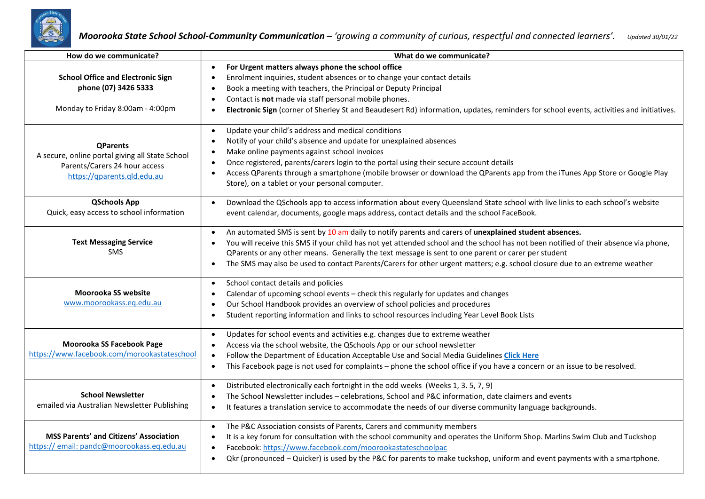

| How do we communicate?                                                                                                             | What do we communicate?                                                                                                                                                                                                                                                                                                                                                                                                                                                                                                  |
|------------------------------------------------------------------------------------------------------------------------------------|--------------------------------------------------------------------------------------------------------------------------------------------------------------------------------------------------------------------------------------------------------------------------------------------------------------------------------------------------------------------------------------------------------------------------------------------------------------------------------------------------------------------------|
| <b>School Office and Electronic Sign</b><br>phone (07) 3426 5333<br>Monday to Friday 8:00am - 4:00pm                               | For Urgent matters always phone the school office<br>$\bullet$<br>Enrolment inquiries, student absences or to change your contact details<br>$\bullet$<br>Book a meeting with teachers, the Principal or Deputy Principal<br>$\bullet$<br>Contact is not made via staff personal mobile phones.<br>$\bullet$<br>Electronic Sign (corner of Sherley St and Beaudesert Rd) information, updates, reminders for school events, activities and initiatives.<br>$\bullet$                                                     |
| <b>QParents</b><br>A secure, online portal giving all State School<br>Parents/Carers 24 hour access<br>https://qparents.qld.edu.au | Update your child's address and medical conditions<br>$\bullet$<br>Notify of your child's absence and update for unexplained absences<br>$\bullet$<br>Make online payments against school invoices<br>$\bullet$<br>Once registered, parents/carers login to the portal using their secure account details<br>$\bullet$<br>Access QParents through a smartphone (mobile browser or download the QParents app from the iTunes App Store or Google Play<br>Store), on a tablet or your personal computer.                   |
| <b>QSchools App</b><br>Quick, easy access to school information                                                                    | Download the QSchools app to access information about every Queensland State school with live links to each school's website<br>$\bullet$<br>event calendar, documents, google maps address, contact details and the school FaceBook.                                                                                                                                                                                                                                                                                    |
| <b>Text Messaging Service</b><br><b>SMS</b>                                                                                        | An automated SMS is sent by 10 am daily to notify parents and carers of unexplained student absences.<br>$\bullet$<br>You will receive this SMS if your child has not yet attended school and the school has not been notified of their absence via phone,<br>$\bullet$<br>QParents or any other means. Generally the text message is sent to one parent or carer per student<br>The SMS may also be used to contact Parents/Carers for other urgent matters; e.g. school closure due to an extreme weather<br>$\bullet$ |
| Moorooka SS website<br>www.moorookass.eq.edu.au                                                                                    | School contact details and policies<br>$\bullet$<br>Calendar of upcoming school events - check this regularly for updates and changes<br>$\bullet$<br>Our School Handbook provides an overview of school policies and procedures<br>$\bullet$<br>Student reporting information and links to school resources including Year Level Book Lists<br>$\bullet$                                                                                                                                                                |
| Moorooka SS Facebook Page<br>https://www.facebook.com/morookastateschool                                                           | Updates for school events and activities e.g. changes due to extreme weather<br>$\bullet$<br>Access via the school website, the QSchools App or our school newsletter<br>$\bullet$<br>Follow the Department of Education Acceptable Use and Social Media Guidelines Click Here<br>$\bullet$<br>This Facebook page is not used for complaints - phone the school office if you have a concern or an issue to be resolved.<br>$\bullet$                                                                                    |
| <b>School Newsletter</b><br>emailed via Australian Newsletter Publishing                                                           | Distributed electronically each fortnight in the odd weeks (Weeks 1, 3.5, 7, 9)<br>$\bullet$<br>The School Newsletter includes - celebrations, School and P&C information, date claimers and events<br>$\bullet$<br>It features a translation service to accommodate the needs of our diverse community language backgrounds.<br>$\bullet$                                                                                                                                                                               |
| <b>MSS Parents' and Citizens' Association</b><br>https://email: pandc@moorookass.eq.edu.au                                         | The P&C Association consists of Parents, Carers and community members<br>$\bullet$<br>It is a key forum for consultation with the school community and operates the Uniform Shop. Marlins Swim Club and Tuckshop<br>$\bullet$<br>Facebook: https://www.facebook.com/moorookastateschoolpac<br>$\bullet$<br>Qkr (pronounced – Quicker) is used by the P&C for parents to make tuckshop, uniform and event payments with a smartphone.<br>$\bullet$                                                                        |